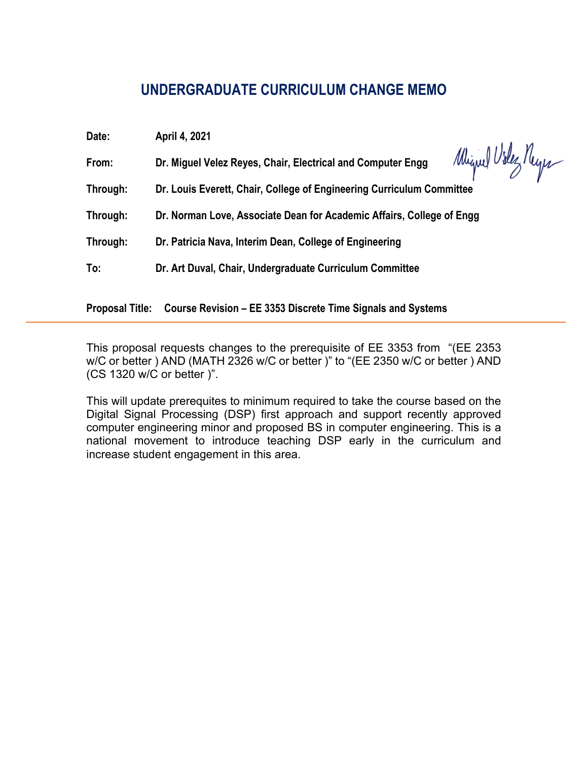### **UNDERGRADUATE CURRICULUM CHANGE MEMO**

| Date:    | April 4, 2021                                                                     |  |
|----------|-----------------------------------------------------------------------------------|--|
| From:    | Miguel Videz Neyes<br>Dr. Miguel Velez Reyes, Chair, Electrical and Computer Engg |  |
| Through: | Dr. Louis Everett, Chair, College of Engineering Curriculum Committee             |  |
| Through: | Dr. Norman Love, Associate Dean for Academic Affairs, College of Engg             |  |
| Through: | Dr. Patricia Nava, Interim Dean, College of Engineering                           |  |
| To:      | Dr. Art Duval, Chair, Undergraduate Curriculum Committee                          |  |

**Proposal Title: Course Revision – EE 3353 Discrete Time Signals and Systems**

This proposal requests changes to the prerequisite of EE 3353 from "(EE 2353 w/C or better ) AND (MATH 2326 w/C or better )" to "(EE 2350 w/C or better ) AND (CS 1320 w/C or better )".

This will update prerequites to minimum required to take the course based on the Digital Signal Processing (DSP) first approach and support recently approved computer engineering minor and proposed BS in computer engineering. This is a national movement to introduce teaching DSP early in the curriculum and increase student engagement in this area.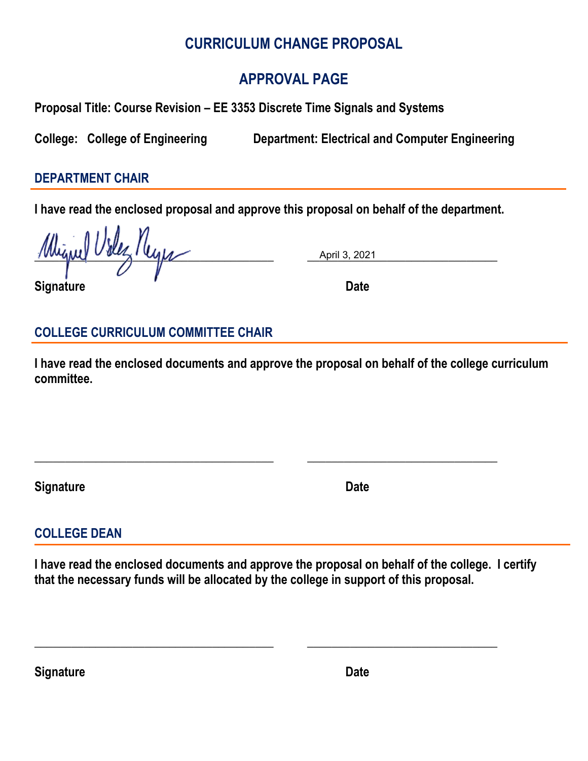## **CURRICULUM CHANGE PROPOSAL**

# **APPROVAL PAGE**

**Proposal Title: Course Revision – EE 3353 Discrete Time Signals and Systems** 

**College: College of Engineering Department: Electrical and Computer Engineering**

#### **DEPARTMENT CHAIR**

**I have read the enclosed proposal and approve this proposal on behalf of the department.**

 $\frac{1}{2}$   $\frac{1}{2}$   $\frac{1}{2}$   $\frac{1}{2}$   $\frac{1}{2}$   $\frac{1}{2}$   $\frac{1}{2}$   $\frac{1}{2}$   $\frac{1}{2}$   $\frac{1}{2}$   $\frac{1}{2}$   $\frac{1}{2}$   $\frac{1}{2}$   $\frac{1}{2}$   $\frac{1}{2}$   $\frac{1}{2}$   $\frac{1}{2}$   $\frac{1}{2}$   $\frac{1}{2}$   $\frac{1}{2}$   $\frac{1}{2}$   $\frac{1}{2}$ 

April 3, 2021

#### **Signature** Date

## **COLLEGE CURRICULUM COMMITTEE CHAIR**

**I have read the enclosed documents and approve the proposal on behalf of the college curriculum committee.**

**\_\_\_\_\_\_\_\_\_\_\_\_\_\_\_\_\_\_\_\_\_\_\_\_\_\_\_\_\_\_\_\_\_\_\_\_\_\_\_ \_\_\_\_\_\_\_\_\_\_\_\_\_\_\_\_\_\_\_\_\_\_\_\_\_\_\_\_\_\_\_** 

**Signature Date** 

## **COLLEGE DEAN**

**I have read the enclosed documents and approve the proposal on behalf of the college. I certify that the necessary funds will be allocated by the college in support of this proposal.**

**\_\_\_\_\_\_\_\_\_\_\_\_\_\_\_\_\_\_\_\_\_\_\_\_\_\_\_\_\_\_\_\_\_\_\_\_\_\_\_ \_\_\_\_\_\_\_\_\_\_\_\_\_\_\_\_\_\_\_\_\_\_\_\_\_\_\_\_\_\_\_** 

**Signature Date** Date **Date**